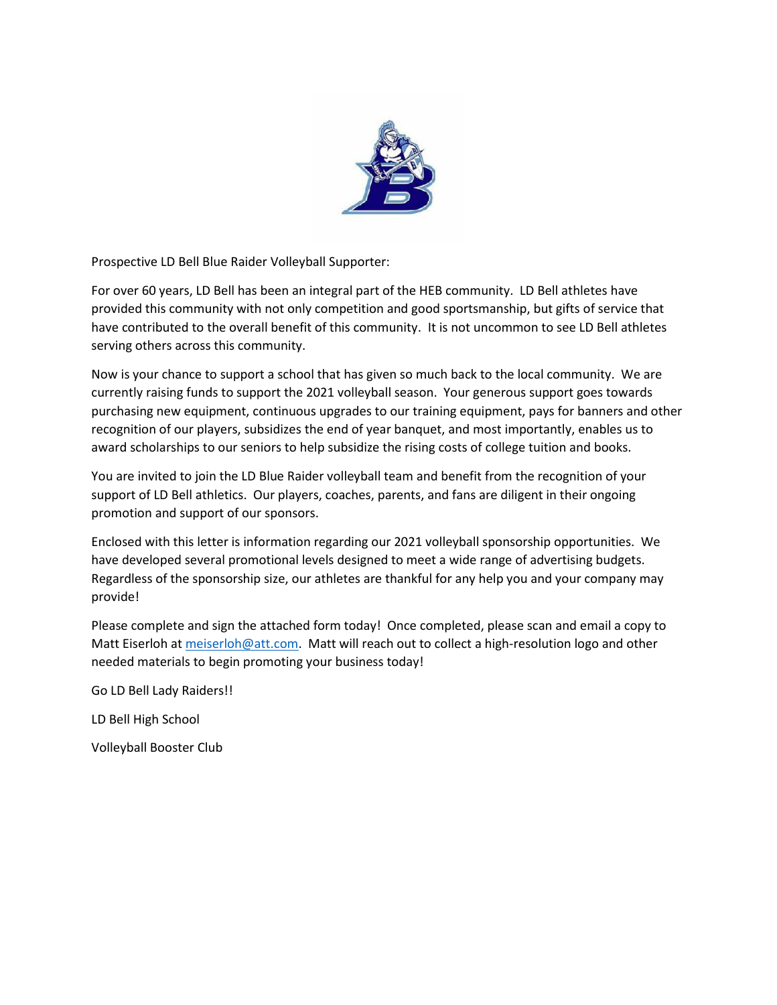

Prospective LD Bell Blue Raider Volleyball Supporter:

For over 60 years, LD Bell has been an integral part of the HEB community. LD Bell athletes have provided this community with not only competition and good sportsmanship, but gifts of service that have contributed to the overall benefit of this community. It is not uncommon to see LD Bell athletes serving others across this community.

Now is your chance to support a school that has given so much back to the local community. We are currently raising funds to support the 2021 volleyball season. Your generous support goes towards purchasing new equipment, continuous upgrades to our training equipment, pays for banners and other recognition of our players, subsidizes the end of year banquet, and most importantly, enables us to award scholarships to our seniors to help subsidize the rising costs of college tuition and books.

You are invited to join the LD Blue Raider volleyball team and benefit from the recognition of your support of LD Bell athletics. Our players, coaches, parents, and fans are diligent in their ongoing promotion and support of our sponsors.

Enclosed with this letter is information regarding our 2021 volleyball sponsorship opportunities. We have developed several promotional levels designed to meet a wide range of advertising budgets. Regardless of the sponsorship size, our athletes are thankful for any help you and your company may provide!

Please complete and sign the attached form today! Once completed, please scan and email a copy to Matt Eiserloh at [meiserloh@att.com.](mailto:meiserloh@att.com) Matt will reach out to collect a high-resolution logo and other needed materials to begin promoting your business today!

Go LD Bell Lady Raiders!!

LD Bell High School

Volleyball Booster Club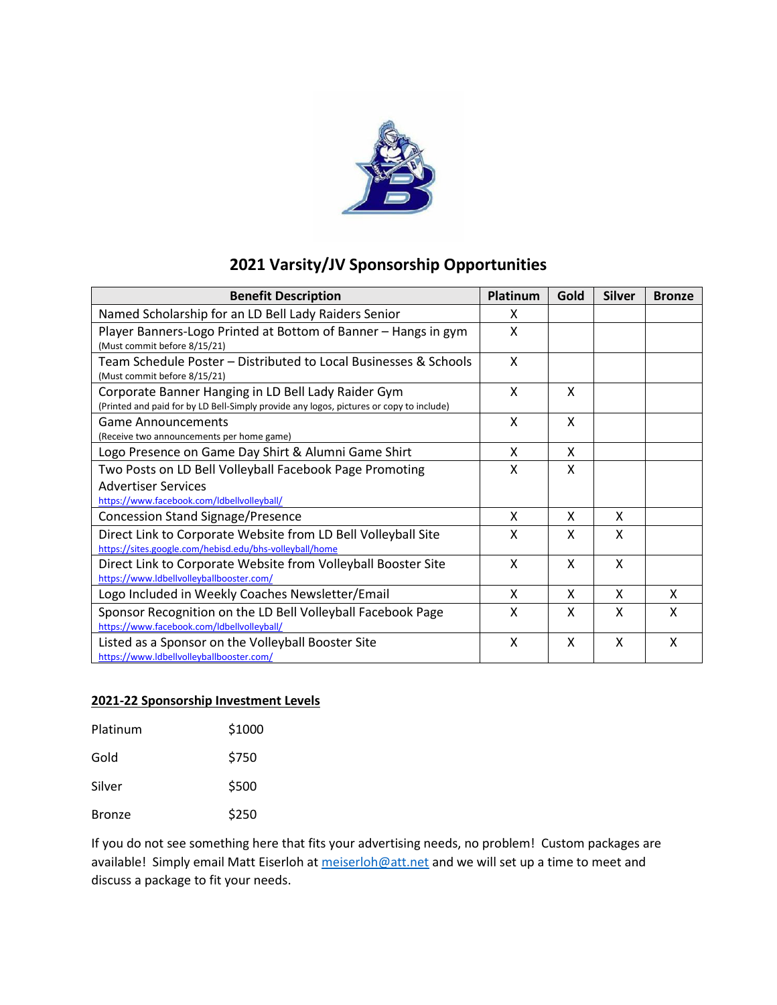

## **2021 Varsity/JV Sponsorship Opportunities**

| <b>Benefit Description</b>                                                                                                                     | Platinum | Gold | <b>Silver</b> | <b>Bronze</b> |
|------------------------------------------------------------------------------------------------------------------------------------------------|----------|------|---------------|---------------|
| Named Scholarship for an LD Bell Lady Raiders Senior                                                                                           | x        |      |               |               |
| Player Banners-Logo Printed at Bottom of Banner - Hangs in gym<br>(Must commit before 8/15/21)                                                 | X        |      |               |               |
| Team Schedule Poster – Distributed to Local Businesses & Schools<br>(Must commit before 8/15/21)                                               | X        |      |               |               |
| Corporate Banner Hanging in LD Bell Lady Raider Gym<br>(Printed and paid for by LD Bell-Simply provide any logos, pictures or copy to include) | X        | X    |               |               |
| <b>Game Announcements</b><br>(Receive two announcements per home game)                                                                         | X        | X    |               |               |
| Logo Presence on Game Day Shirt & Alumni Game Shirt                                                                                            | X        | X    |               |               |
| Two Posts on LD Bell Volleyball Facebook Page Promoting<br><b>Advertiser Services</b><br>https://www.facebook.com/ldbellvolleyball/            | X        | X    |               |               |
| <b>Concession Stand Signage/Presence</b>                                                                                                       | X        | x    | x             |               |
| Direct Link to Corporate Website from LD Bell Volleyball Site<br>https://sites.google.com/hebisd.edu/bhs-volleyball/home                       | X        | x    | x             |               |
| Direct Link to Corporate Website from Volleyball Booster Site<br>https://www.ldbellvolleyballbooster.com/                                      | X        | X    | X             |               |
| Logo Included in Weekly Coaches Newsletter/Email                                                                                               | X        | X    | X             | X             |
| Sponsor Recognition on the LD Bell Volleyball Facebook Page<br>https://www.facebook.com/ldbellyolleyball/                                      | X        | x    | x             | X             |
| Listed as a Sponsor on the Volleyball Booster Site<br>https://www.ldbellyolleyballbooster.com/                                                 | X        | X    | X             | X             |

## **2021-22 Sponsorship Investment Levels**

| Platinum      | \$1000 |
|---------------|--------|
| Gold          | \$750  |
| Silver        | \$500  |
| <b>Bronze</b> | \$250  |

If you do not see something here that fits your advertising needs, no problem! Custom packages are available! Simply email Matt Eiserloh at [meiserloh@att.net](mailto:meiserloh@att.net) and we will set up a time to meet and discuss a package to fit your needs.